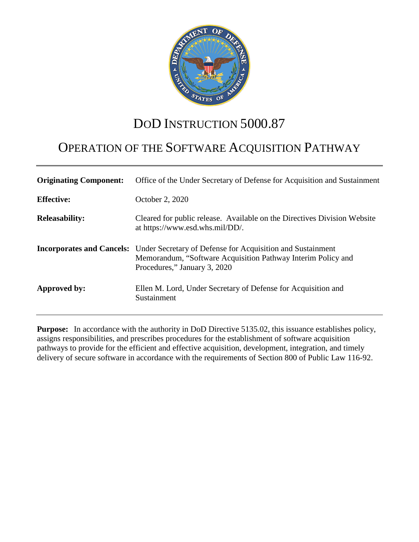

# DOD INSTRUCTION 5000.87

# OPERATION OF THE SOFTWARE ACQUISITION PATHWAY

| <b>Originating Component:</b> | Office of the Under Secretary of Defense for Acquisition and Sustainment                                                                                                                    |
|-------------------------------|---------------------------------------------------------------------------------------------------------------------------------------------------------------------------------------------|
| <b>Effective:</b>             | October 2, 2020                                                                                                                                                                             |
| <b>Releasability:</b>         | Cleared for public release. Available on the Directives Division Website<br>at https://www.esd.whs.mil/DD/.                                                                                 |
|                               | <b>Incorporates and Cancels:</b> Under Secretary of Defense for Acquisition and Sustainment<br>Memorandum, "Software Acquisition Pathway Interim Policy and<br>Procedures," January 3, 2020 |
| Approved by:                  | Ellen M. Lord, Under Secretary of Defense for Acquisition and<br>Sustainment                                                                                                                |

**Purpose:** In accordance with the authority in DoD Directive 5135.02, this issuance establishes policy, assigns responsibilities, and prescribes procedures for the establishment of software acquisition pathways to provide for the efficient and effective acquisition, development, integration, and timely delivery of secure software in accordance with the requirements of Section 800 of Public Law 116-92.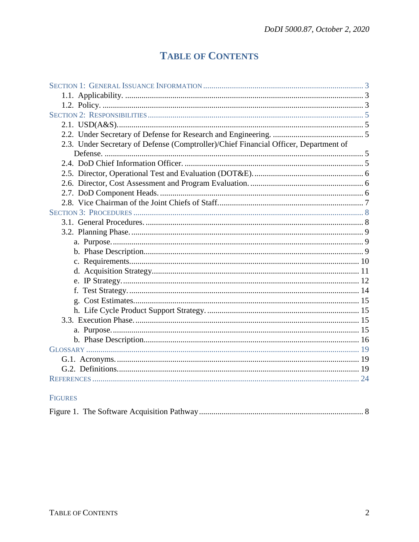# **TABLE OF CONTENTS**

| 2.3. Under Secretary of Defense (Comptroller)/Chief Financial Officer, Department of |  |
|--------------------------------------------------------------------------------------|--|
|                                                                                      |  |
|                                                                                      |  |
|                                                                                      |  |
|                                                                                      |  |
|                                                                                      |  |
|                                                                                      |  |
|                                                                                      |  |
|                                                                                      |  |
|                                                                                      |  |
|                                                                                      |  |
|                                                                                      |  |
|                                                                                      |  |
|                                                                                      |  |
|                                                                                      |  |
|                                                                                      |  |
|                                                                                      |  |
|                                                                                      |  |
|                                                                                      |  |
|                                                                                      |  |
|                                                                                      |  |
|                                                                                      |  |
|                                                                                      |  |
|                                                                                      |  |
|                                                                                      |  |
|                                                                                      |  |

## FIGURES

|--|--|--|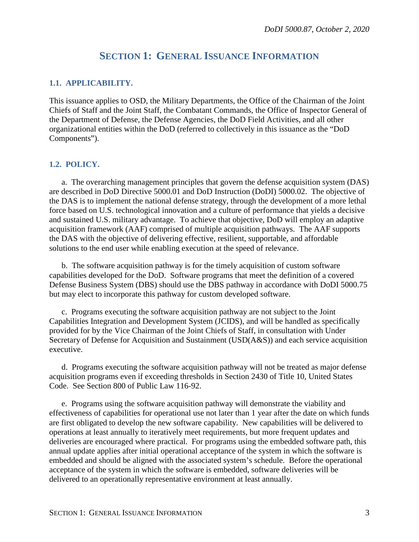## **SECTION 1: GENERAL ISSUANCE INFORMATION**

#### <span id="page-2-1"></span><span id="page-2-0"></span>**1.1. APPLICABILITY.**

This issuance applies to OSD, the Military Departments, the Office of the Chairman of the Joint Chiefs of Staff and the Joint Staff, the Combatant Commands, the Office of Inspector General of the Department of Defense, the Defense Agencies, the DoD Field Activities, and all other organizational entities within the DoD (referred to collectively in this issuance as the "DoD Components").

#### <span id="page-2-2"></span>**1.2. POLICY.**

a. The overarching management principles that govern the defense acquisition system (DAS) are described in DoD Directive 5000.01 and DoD Instruction (DoDI) 5000.02. The objective of the DAS is to implement the national defense strategy, through the development of a more lethal force based on U.S. technological innovation and a culture of performance that yields a decisive and sustained U.S. military advantage. To achieve that objective, DoD will employ an adaptive acquisition framework (AAF) comprised of multiple acquisition pathways. The AAF supports the DAS with the objective of delivering effective, resilient, supportable, and affordable solutions to the end user while enabling execution at the speed of relevance.

b. The software acquisition pathway is for the timely acquisition of custom software capabilities developed for the DoD. Software programs that meet the definition of a covered Defense Business System (DBS) should use the DBS pathway in accordance with DoDI 5000.75 but may elect to incorporate this pathway for custom developed software.

c. Programs executing the software acquisition pathway are not subject to the Joint Capabilities Integration and Development System (JCIDS), and will be handled as specifically provided for by the Vice Chairman of the Joint Chiefs of Staff, in consultation with Under Secretary of Defense for Acquisition and Sustainment (USD(A&S)) and each service acquisition executive.

d. Programs executing the software acquisition pathway will not be treated as major defense acquisition programs even if exceeding thresholds in Section 2430 of Title 10, United States Code. See Section 800 of Public Law 116-92.

e. Programs using the software acquisition pathway will demonstrate the viability and effectiveness of capabilities for operational use not later than 1 year after the date on which funds are first obligated to develop the new software capability. New capabilities will be delivered to operations at least annually to iteratively meet requirements, but more frequent updates and deliveries are encouraged where practical. For programs using the embedded software path, this annual update applies after initial operational acceptance of the system in which the software is embedded and should be aligned with the associated system's schedule. Before the operational acceptance of the system in which the software is embedded, software deliveries will be delivered to an operationally representative environment at least annually.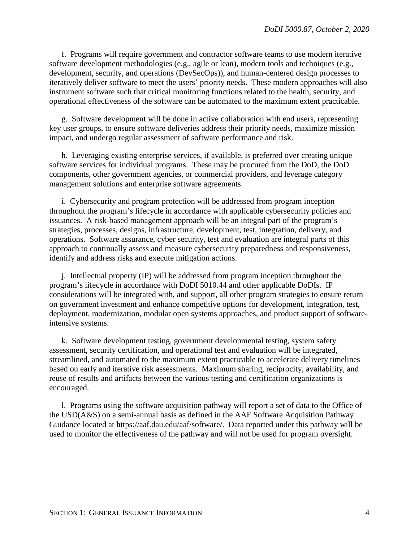f. Programs will require government and contractor software teams to use modern iterative software development methodologies (e.g., agile or lean), modern tools and techniques (e.g., development, security, and operations (DevSecOps)), and human-centered design processes to iteratively deliver software to meet the users' priority needs. These modern approaches will also instrument software such that critical monitoring functions related to the health, security, and operational effectiveness of the software can be automated to the maximum extent practicable.

g. Software development will be done in active collaboration with end users, representing key user groups, to ensure software deliveries address their priority needs, maximize mission impact, and undergo regular assessment of software performance and risk.

h. Leveraging existing enterprise services, if available, is preferred over creating unique software services for individual programs. These may be procured from the DoD, the DoD components, other government agencies, or commercial providers, and leverage category management solutions and enterprise software agreements.

i. Cybersecurity and program protection will be addressed from program inception throughout the program's lifecycle in accordance with applicable cybersecurity policies and issuances. A risk-based management approach will be an integral part of the program's strategies, processes, designs, infrastructure, development, test, integration, delivery, and operations. Software assurance, cyber security, test and evaluation are integral parts of this approach to continually assess and measure cybersecurity preparedness and responsiveness, identify and address risks and execute mitigation actions.

j. Intellectual property (IP) will be addressed from program inception throughout the program's lifecycle in accordance with DoDI 5010.44 and other applicable DoDIs. IP considerations will be integrated with, and support, all other program strategies to ensure return on government investment and enhance competitive options for development, integration, test, deployment, modernization, modular open systems approaches, and product support of softwareintensive systems.

k. Software development testing, government developmental testing, system safety assessment, security certification, and operational test and evaluation will be integrated, streamlined, and automated to the maximum extent practicable to accelerate delivery timelines based on early and iterative risk assessments. Maximum sharing, reciprocity, availability, and reuse of results and artifacts between the various testing and certification organizations is encouraged.

l. Programs using the software acquisition pathway will report a set of data to the Office of the USD(A&S) on a semi-annual basis as defined in the AAF Software Acquisition Pathway Guidance located at https://aaf.dau.edu/aaf/software/. Data reported under this pathway will be used to monitor the effectiveness of the pathway and will not be used for program oversight.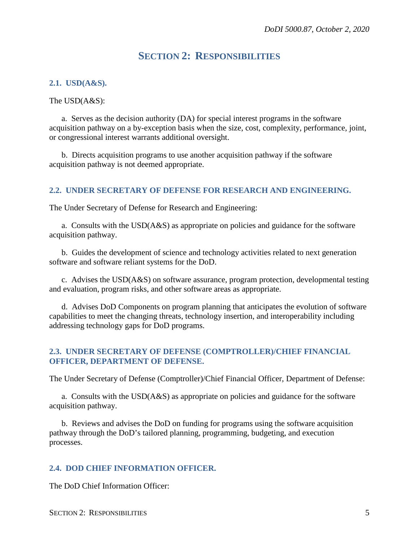## **SECTION 2: RESPONSIBILITIES**

#### <span id="page-4-1"></span><span id="page-4-0"></span>**2.1. USD(A&S).**

The USD(A&S):

a. Serves as the decision authority (DA) for special interest programs in the software acquisition pathway on a by-exception basis when the size, cost, complexity, performance, joint, or congressional interest warrants additional oversight.

b. Directs acquisition programs to use another acquisition pathway if the software acquisition pathway is not deemed appropriate.

#### <span id="page-4-2"></span>**2.2. UNDER SECRETARY OF DEFENSE FOR RESEARCH AND ENGINEERING.**

The Under Secretary of Defense for Research and Engineering:

a. Consults with the USD(A&S) as appropriate on policies and guidance for the software acquisition pathway.

b. Guides the development of science and technology activities related to next generation software and software reliant systems for the DoD.

c. Advises the USD(A&S) on software assurance, program protection, developmental testing and evaluation, program risks, and other software areas as appropriate.

d. Advises DoD Components on program planning that anticipates the evolution of software capabilities to meet the changing threats, technology insertion, and interoperability including addressing technology gaps for DoD programs.

#### <span id="page-4-3"></span>**2.3. UNDER SECRETARY OF DEFENSE (COMPTROLLER)/CHIEF FINANCIAL OFFICER, DEPARTMENT OF DEFENSE.**

The Under Secretary of Defense (Comptroller)/Chief Financial Officer, Department of Defense:

a. Consults with the USD(A&S) as appropriate on policies and guidance for the software acquisition pathway.

b. Reviews and advises the DoD on funding for programs using the software acquisition pathway through the DoD's tailored planning, programming, budgeting, and execution processes.

#### <span id="page-4-4"></span>**2.4. DOD CHIEF INFORMATION OFFICER.**

The DoD Chief Information Officer: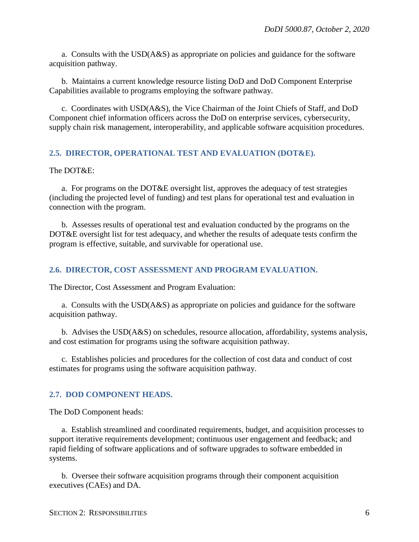a. Consults with the USD(A&S) as appropriate on policies and guidance for the software acquisition pathway.

b. Maintains a current knowledge resource listing DoD and DoD Component Enterprise Capabilities available to programs employing the software pathway.

c. Coordinates with USD(A&S), the Vice Chairman of the Joint Chiefs of Staff, and DoD Component chief information officers across the DoD on enterprise services, cybersecurity, supply chain risk management, interoperability, and applicable software acquisition procedures.

#### <span id="page-5-0"></span>**2.5. DIRECTOR, OPERATIONAL TEST AND EVALUATION (DOT&E).**

#### The DOT&E:

a. For programs on the DOT&E oversight list, approves the adequacy of test strategies (including the projected level of funding) and test plans for operational test and evaluation in connection with the program.

b. Assesses results of operational test and evaluation conducted by the programs on the DOT&E oversight list for test adequacy, and whether the results of adequate tests confirm the program is effective, suitable, and survivable for operational use.

#### <span id="page-5-1"></span>**2.6. DIRECTOR, COST ASSESSMENT AND PROGRAM EVALUATION.**

The Director, Cost Assessment and Program Evaluation:

a. Consults with the USD(A&S) as appropriate on policies and guidance for the software acquisition pathway.

b. Advises the USD(A&S) on schedules, resource allocation, affordability, systems analysis, and cost estimation for programs using the software acquisition pathway.

c. Establishes policies and procedures for the collection of cost data and conduct of cost estimates for programs using the software acquisition pathway.

#### <span id="page-5-2"></span>**2.7. DOD COMPONENT HEADS.**

The DoD Component heads:

a. Establish streamlined and coordinated requirements, budget, and acquisition processes to support iterative requirements development; continuous user engagement and feedback; and rapid fielding of software applications and of software upgrades to software embedded in systems.

b. Oversee their software acquisition programs through their component acquisition executives (CAEs) and DA.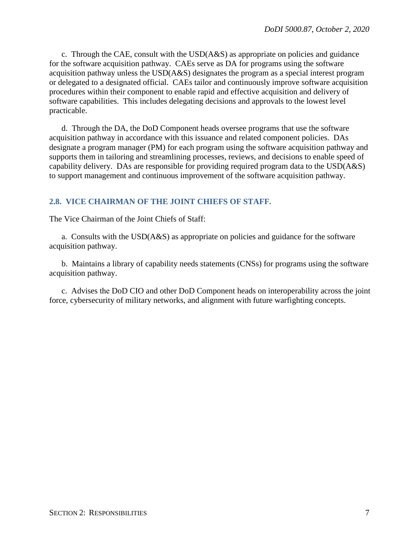c. Through the CAE, consult with the  $USD(A&S)$  as appropriate on policies and guidance for the software acquisition pathway. CAEs serve as DA for programs using the software acquisition pathway unless the USD(A&S) designates the program as a special interest program or delegated to a designated official. CAEs tailor and continuously improve software acquisition procedures within their component to enable rapid and effective acquisition and delivery of software capabilities. This includes delegating decisions and approvals to the lowest level practicable.

d. Through the DA, the DoD Component heads oversee programs that use the software acquisition pathway in accordance with this issuance and related component policies. DAs designate a program manager (PM) for each program using the software acquisition pathway and supports them in tailoring and streamlining processes, reviews, and decisions to enable speed of capability delivery. DAs are responsible for providing required program data to the USD(A&S) to support management and continuous improvement of the software acquisition pathway.

#### <span id="page-6-0"></span>**2.8. VICE CHAIRMAN OF THE JOINT CHIEFS OF STAFF.**

The Vice Chairman of the Joint Chiefs of Staff:

a. Consults with the USD(A&S) as appropriate on policies and guidance for the software acquisition pathway.

b. Maintains a library of capability needs statements (CNSs) for programs using the software acquisition pathway.

c. Advises the DoD CIO and other DoD Component heads on interoperability across the joint force, cybersecurity of military networks, and alignment with future warfighting concepts.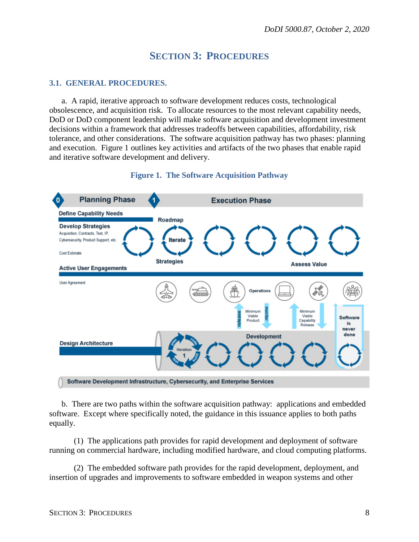## **SECTION 3: PROCEDURES**

#### <span id="page-7-1"></span><span id="page-7-0"></span>**3.1. GENERAL PROCEDURES.**

a. A rapid, iterative approach to software development reduces costs, technological obsolescence, and acquisition risk. To allocate resources to the most relevant capability needs, DoD or DoD component leadership will make software acquisition and development investment decisions within a framework that addresses tradeoffs between capabilities, affordability, risk tolerance, and other considerations. The software acquisition pathway has two phases: planning and execution. Figure 1 outlines key activities and artifacts of the two phases that enable rapid and iterative software development and delivery.



#### **Figure 1. The Software Acquisition Pathway**

b. There are two paths within the software acquisition pathway: applications and embedded software. Except where specifically noted, the guidance in this issuance applies to both paths equally.

(1) The applications path provides for rapid development and deployment of software running on commercial hardware, including modified hardware, and cloud computing platforms.

(2) The embedded software path provides for the rapid development, deployment, and insertion of upgrades and improvements to software embedded in weapon systems and other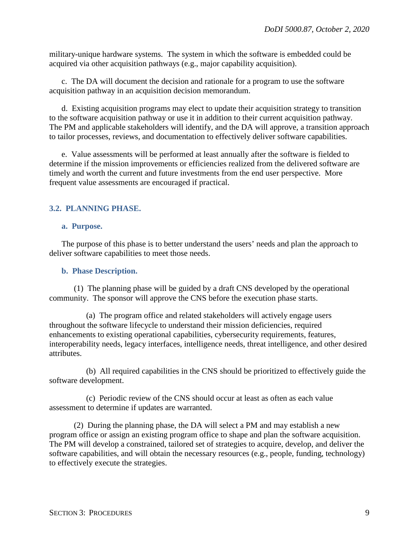military-unique hardware systems. The system in which the software is embedded could be acquired via other acquisition pathways (e.g., major capability acquisition).

c. The DA will document the decision and rationale for a program to use the software acquisition pathway in an acquisition decision memorandum.

d. Existing acquisition programs may elect to update their acquisition strategy to transition to the software acquisition pathway or use it in addition to their current acquisition pathway. The PM and applicable stakeholders will identify, and the DA will approve, a transition approach to tailor processes, reviews, and documentation to effectively deliver software capabilities.

e. Value assessments will be performed at least annually after the software is fielded to determine if the mission improvements or efficiencies realized from the delivered software are timely and worth the current and future investments from the end user perspective. More frequent value assessments are encouraged if practical.

#### <span id="page-8-0"></span>**3.2. PLANNING PHASE.**

#### <span id="page-8-1"></span>**a. Purpose.**

The purpose of this phase is to better understand the users' needs and plan the approach to deliver software capabilities to meet those needs.

#### <span id="page-8-2"></span>**b. Phase Description.**

(1) The planning phase will be guided by a draft CNS developed by the operational community. The sponsor will approve the CNS before the execution phase starts.

(a) The program office and related stakeholders will actively engage users throughout the software lifecycle to understand their mission deficiencies, required enhancements to existing operational capabilities, cybersecurity requirements, features, interoperability needs, legacy interfaces, intelligence needs, threat intelligence, and other desired attributes.

(b) All required capabilities in the CNS should be prioritized to effectively guide the software development.

(c) Periodic review of the CNS should occur at least as often as each value assessment to determine if updates are warranted.

(2) During the planning phase, the DA will select a PM and may establish a new program office or assign an existing program office to shape and plan the software acquisition. The PM will develop a constrained, tailored set of strategies to acquire, develop, and deliver the software capabilities, and will obtain the necessary resources (e.g., people, funding, technology) to effectively execute the strategies.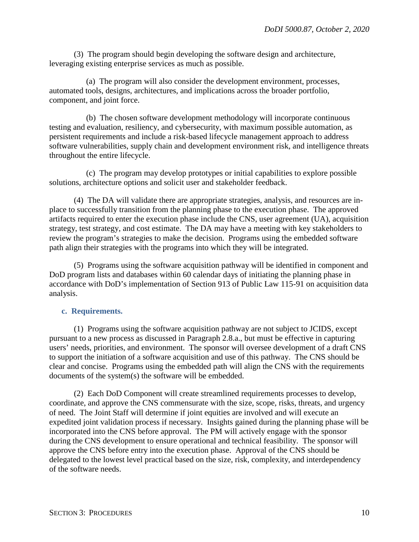(3) The program should begin developing the software design and architecture, leveraging existing enterprise services as much as possible.

(a) The program will also consider the development environment, processes, automated tools, designs, architectures, and implications across the broader portfolio, component, and joint force.

(b) The chosen software development methodology will incorporate continuous testing and evaluation, resiliency, and cybersecurity, with maximum possible automation, as persistent requirements and include a risk-based lifecycle management approach to address software vulnerabilities, supply chain and development environment risk, and intelligence threats throughout the entire lifecycle.

(c) The program may develop prototypes or initial capabilities to explore possible solutions, architecture options and solicit user and stakeholder feedback.

(4) The DA will validate there are appropriate strategies, analysis, and resources are inplace to successfully transition from the planning phase to the execution phase. The approved artifacts required to enter the execution phase include the CNS, user agreement (UA), acquisition strategy, test strategy, and cost estimate. The DA may have a meeting with key stakeholders to review the program's strategies to make the decision. Programs using the embedded software path align their strategies with the programs into which they will be integrated.

(5) Programs using the software acquisition pathway will be identified in component and DoD program lists and databases within 60 calendar days of initiating the planning phase in accordance with DoD's implementation of Section 913 of Public Law 115-91 on acquisition data analysis.

#### <span id="page-9-0"></span>**c. Requirements.**

(1) Programs using the software acquisition pathway are not subject to JCIDS, except pursuant to a new process as discussed in Paragraph 2.8.a., but must be effective in capturing users' needs, priorities, and environment. The sponsor will oversee development of a draft CNS to support the initiation of a software acquisition and use of this pathway. The CNS should be clear and concise. Programs using the embedded path will align the CNS with the requirements documents of the system(s) the software will be embedded.

(2) Each DoD Component will create streamlined requirements processes to develop, coordinate, and approve the CNS commensurate with the size, scope, risks, threats, and urgency of need. The Joint Staff will determine if joint equities are involved and will execute an expedited joint validation process if necessary. Insights gained during the planning phase will be incorporated into the CNS before approval. The PM will actively engage with the sponsor during the CNS development to ensure operational and technical feasibility. The sponsor will approve the CNS before entry into the execution phase. Approval of the CNS should be delegated to the lowest level practical based on the size, risk, complexity, and interdependency of the software needs.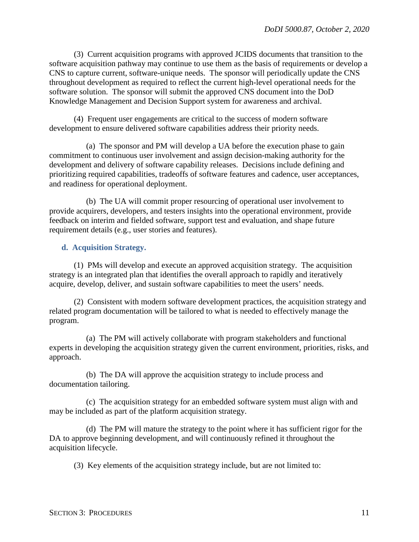(3) Current acquisition programs with approved JCIDS documents that transition to the software acquisition pathway may continue to use them as the basis of requirements or develop a CNS to capture current, software-unique needs. The sponsor will periodically update the CNS throughout development as required to reflect the current high-level operational needs for the software solution. The sponsor will submit the approved CNS document into the DoD Knowledge Management and Decision Support system for awareness and archival.

(4) Frequent user engagements are critical to the success of modern software development to ensure delivered software capabilities address their priority needs.

(a) The sponsor and PM will develop a UA before the execution phase to gain commitment to continuous user involvement and assign decision-making authority for the development and delivery of software capability releases. Decisions include defining and prioritizing required capabilities, tradeoffs of software features and cadence, user acceptances, and readiness for operational deployment.

(b) The UA will commit proper resourcing of operational user involvement to provide acquirers, developers, and testers insights into the operational environment, provide feedback on interim and fielded software, support test and evaluation, and shape future requirement details (e.g., user stories and features).

#### <span id="page-10-0"></span>**d. Acquisition Strategy.**

(1) PMs will develop and execute an approved acquisition strategy. The acquisition strategy is an integrated plan that identifies the overall approach to rapidly and iteratively acquire, develop, deliver, and sustain software capabilities to meet the users' needs.

(2) Consistent with modern software development practices, the acquisition strategy and related program documentation will be tailored to what is needed to effectively manage the program.

(a) The PM will actively collaborate with program stakeholders and functional experts in developing the acquisition strategy given the current environment, priorities, risks, and approach.

(b) The DA will approve the acquisition strategy to include process and documentation tailoring.

(c) The acquisition strategy for an embedded software system must align with and may be included as part of the platform acquisition strategy.

(d) The PM will mature the strategy to the point where it has sufficient rigor for the DA to approve beginning development, and will continuously refined it throughout the acquisition lifecycle.

(3) Key elements of the acquisition strategy include, but are not limited to: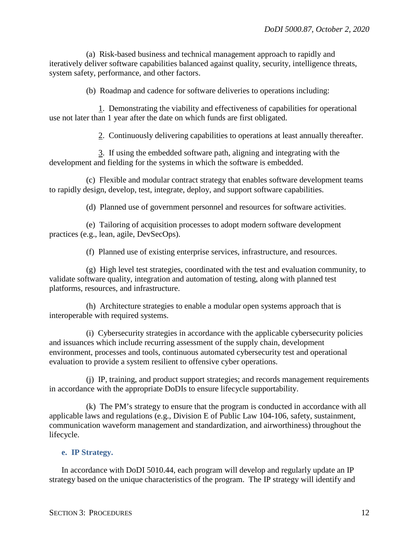(a) Risk-based business and technical management approach to rapidly and iteratively deliver software capabilities balanced against quality, security, intelligence threats, system safety, performance, and other factors.

(b) Roadmap and cadence for software deliveries to operations including:

1. Demonstrating the viability and effectiveness of capabilities for operational use not later than 1 year after the date on which funds are first obligated.

2. Continuously delivering capabilities to operations at least annually thereafter.

3. If using the embedded software path, aligning and integrating with the development and fielding for the systems in which the software is embedded.

(c) Flexible and modular contract strategy that enables software development teams to rapidly design, develop, test, integrate, deploy, and support software capabilities.

(d) Planned use of government personnel and resources for software activities.

(e) Tailoring of acquisition processes to adopt modern software development practices (e.g., lean, agile, DevSecOps).

(f) Planned use of existing enterprise services, infrastructure, and resources.

(g) High level test strategies, coordinated with the test and evaluation community, to validate software quality, integration and automation of testing, along with planned test platforms, resources, and infrastructure.

(h) Architecture strategies to enable a modular open systems approach that is interoperable with required systems.

(i) Cybersecurity strategies in accordance with the applicable cybersecurity policies and issuances which include recurring assessment of the supply chain, development environment, processes and tools, continuous automated cybersecurity test and operational evaluation to provide a system resilient to offensive cyber operations.

(j) IP, training, and product support strategies; and records management requirements in accordance with the appropriate DoDIs to ensure lifecycle supportability.

(k) The PM's strategy to ensure that the program is conducted in accordance with all applicable laws and regulations (e.g., Division E of Public Law 104-106, safety, sustainment, communication waveform management and standardization, and airworthiness) throughout the lifecycle.

#### <span id="page-11-0"></span>**e. IP Strategy.**

In accordance with DoDI 5010.44, each program will develop and regularly update an IP strategy based on the unique characteristics of the program. The IP strategy will identify and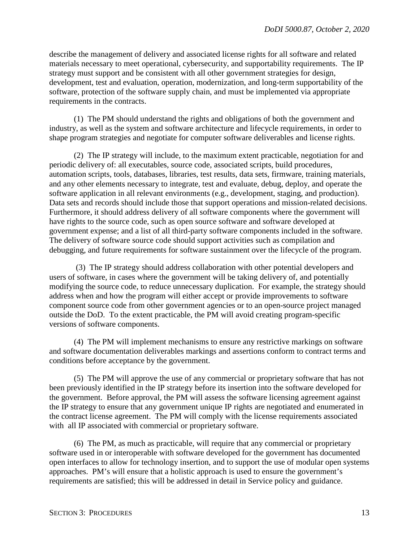describe the management of delivery and associated license rights for all software and related materials necessary to meet operational, cybersecurity, and supportability requirements. The IP strategy must support and be consistent with all other government strategies for design, development, test and evaluation, operation, modernization, and long-term supportability of the software, protection of the software supply chain, and must be implemented via appropriate requirements in the contracts.

(1) The PM should understand the rights and obligations of both the government and industry, as well as the system and software architecture and lifecycle requirements, in order to shape program strategies and negotiate for computer software deliverables and license rights.

(2) The IP strategy will include, to the maximum extent practicable, negotiation for and periodic delivery of: all executables, source code, associated scripts, build procedures, automation scripts, tools, databases, libraries, test results, data sets, firmware, training materials, and any other elements necessary to integrate, test and evaluate, debug, deploy, and operate the software application in all relevant environments (e.g., development, staging, and production). Data sets and records should include those that support operations and mission-related decisions. Furthermore, it should address delivery of all software components where the government will have rights to the source code, such as open source software and software developed at government expense; and a list of all third-party software components included in the software. The delivery of software source code should support activities such as compilation and debugging, and future requirements for software sustainment over the lifecycle of the program.

(3) The IP strategy should address collaboration with other potential developers and users of software, in cases where the government will be taking delivery of, and potentially modifying the source code, to reduce unnecessary duplication. For example, the strategy should address when and how the program will either accept or provide improvements to software component source code from other government agencies or to an open-source project managed outside the DoD. To the extent practicable, the PM will avoid creating program-specific versions of software components.

(4) The PM will implement mechanisms to ensure any restrictive markings on software and software documentation deliverables markings and assertions conform to contract terms and conditions before acceptance by the government.

(5) The PM will approve the use of any commercial or proprietary software that has not been previously identified in the IP strategy before its insertion into the software developed for the government. Before approval, the PM will assess the software licensing agreement against the IP strategy to ensure that any government unique IP rights are negotiated and enumerated in the contract license agreement. The PM will comply with the license requirements associated with all IP associated with commercial or proprietary software.

(6) The PM, as much as practicable, will require that any commercial or proprietary software used in or interoperable with software developed for the government has documented open interfaces to allow for technology insertion, and to support the use of modular open systems approaches. PM's will ensure that a holistic approach is used to ensure the government's requirements are satisfied; this will be addressed in detail in Service policy and guidance.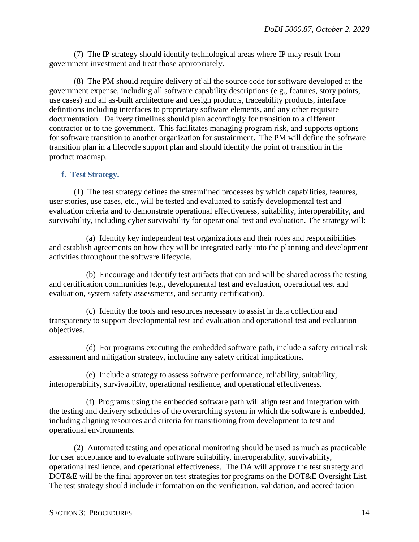(7) The IP strategy should identify technological areas where IP may result from government investment and treat those appropriately.

(8) The PM should require delivery of all the source code for software developed at the government expense, including all software capability descriptions (e.g., features, story points, use cases) and all as-built architecture and design products, traceability products, interface definitions including interfaces to proprietary software elements, and any other requisite documentation. Delivery timelines should plan accordingly for transition to a different contractor or to the government. This facilitates managing program risk, and supports options for software transition to another organization for sustainment. The PM will define the software transition plan in a lifecycle support plan and should identify the point of transition in the product roadmap.

#### <span id="page-13-0"></span>**f. Test Strategy.**

(1) The test strategy defines the streamlined processes by which capabilities, features, user stories, use cases, etc., will be tested and evaluated to satisfy developmental test and evaluation criteria and to demonstrate operational effectiveness, suitability, interoperability, and survivability, including cyber survivability for operational test and evaluation. The strategy will:

(a) Identify key independent test organizations and their roles and responsibilities and establish agreements on how they will be integrated early into the planning and development activities throughout the software lifecycle.

(b) Encourage and identify test artifacts that can and will be shared across the testing and certification communities (e.g., developmental test and evaluation, operational test and evaluation, system safety assessments, and security certification).

(c) Identify the tools and resources necessary to assist in data collection and transparency to support developmental test and evaluation and operational test and evaluation objectives.

(d) For programs executing the embedded software path, include a safety critical risk assessment and mitigation strategy, including any safety critical implications.

(e) Include a strategy to assess software performance, reliability, suitability, interoperability, survivability, operational resilience, and operational effectiveness.

(f) Programs using the embedded software path will align test and integration with the testing and delivery schedules of the overarching system in which the software is embedded, including aligning resources and criteria for transitioning from development to test and operational environments.

(2) Automated testing and operational monitoring should be used as much as practicable for user acceptance and to evaluate software suitability, interoperability, survivability, operational resilience, and operational effectiveness. The DA will approve the test strategy and DOT&E will be the final approver on test strategies for programs on the DOT&E Oversight List. The test strategy should include information on the verification, validation, and accreditation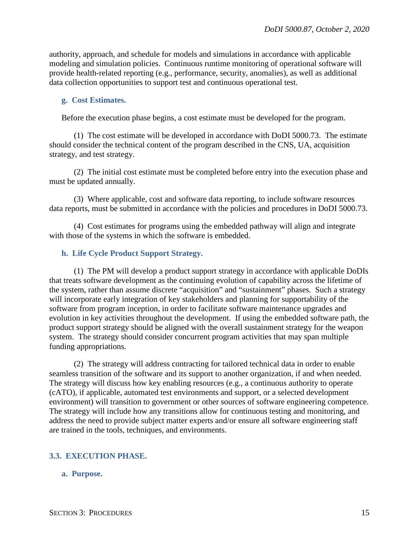authority, approach, and schedule for models and simulations in accordance with applicable modeling and simulation policies. Continuous runtime monitoring of operational software will provide health-related reporting (e.g., performance, security, anomalies), as well as additional data collection opportunities to support test and continuous operational test.

#### <span id="page-14-0"></span>**g. Cost Estimates.**

Before the execution phase begins, a cost estimate must be developed for the program.

(1) The cost estimate will be developed in accordance with DoDI 5000.73. The estimate should consider the technical content of the program described in the CNS, UA, acquisition strategy, and test strategy.

(2) The initial cost estimate must be completed before entry into the execution phase and must be updated annually.

(3) Where applicable, cost and software data reporting, to include software resources data reports, must be submitted in accordance with the policies and procedures in DoDI 5000.73.

(4) Cost estimates for programs using the embedded pathway will align and integrate with those of the systems in which the software is embedded.

#### <span id="page-14-1"></span>**h. Life Cycle Product Support Strategy.**

(1) The PM will develop a product support strategy in accordance with applicable DoDIs that treats software development as the continuing evolution of capability across the lifetime of the system, rather than assume discrete "acquisition" and "sustainment" phases. Such a strategy will incorporate early integration of key stakeholders and planning for supportability of the software from program inception, in order to facilitate software maintenance upgrades and evolution in key activities throughout the development. If using the embedded software path, the product support strategy should be aligned with the overall sustainment strategy for the weapon system. The strategy should consider concurrent program activities that may span multiple funding appropriations.

(2) The strategy will address contracting for tailored technical data in order to enable seamless transition of the software and its support to another organization, if and when needed. The strategy will discuss how key enabling resources (e.g., a continuous authority to operate (cATO), if applicable, automated test environments and support, or a selected development environment) will transition to government or other sources of software engineering competence. The strategy will include how any transitions allow for continuous testing and monitoring, and address the need to provide subject matter experts and/or ensure all software engineering staff are trained in the tools, techniques, and environments.

#### <span id="page-14-2"></span>**3.3. EXECUTION PHASE.**

#### <span id="page-14-3"></span>**a. Purpose.**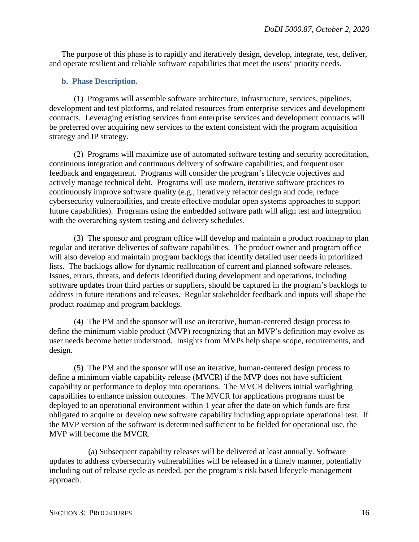The purpose of this phase is to rapidly and iteratively design, develop, integrate, test, deliver, and operate resilient and reliable software capabilities that meet the users' priority needs.

#### <span id="page-15-0"></span>**b. Phase Description.**

(1) Programs will assemble software architecture, infrastructure, services, pipelines, development and test platforms, and related resources from enterprise services and development contracts. Leveraging existing services from enterprise services and development contracts will be preferred over acquiring new services to the extent consistent with the program acquisition strategy and IP strategy.

(2) Programs will maximize use of automated software testing and security accreditation, continuous integration and continuous delivery of software capabilities, and frequent user feedback and engagement. Programs will consider the program's lifecycle objectives and actively manage technical debt. Programs will use modern, iterative software practices to continuously improve software quality (e.g., iteratively refactor design and code, reduce cybersecurity vulnerabilities, and create effective modular open systems approaches to support future capabilities). Programs using the embedded software path will align test and integration with the overarching system testing and delivery schedules.

(3) The sponsor and program office will develop and maintain a product roadmap to plan regular and iterative deliveries of software capabilities. The product owner and program office will also develop and maintain program backlogs that identify detailed user needs in prioritized lists. The backlogs allow for dynamic reallocation of current and planned software releases. Issues, errors, threats, and defects identified during development and operations, including software updates from third parties or suppliers, should be captured in the program's backlogs to address in future iterations and releases. Regular stakeholder feedback and inputs will shape the product roadmap and program backlogs.

(4) The PM and the sponsor will use an iterative, human-centered design process to define the minimum viable product (MVP) recognizing that an MVP's definition may evolve as user needs become better understood. Insights from MVPs help shape scope, requirements, and design.

(5) The PM and the sponsor will use an iterative, human-centered design process to define a minimum viable capability release (MVCR) if the MVP does not have sufficient capability or performance to deploy into operations. The MVCR delivers initial warfighting capabilities to enhance mission outcomes. The MVCR for applications programs must be deployed to an operational environment within 1 year after the date on which funds are first obligated to acquire or develop new software capability including appropriate operational test. If the MVP version of the software is determined sufficient to be fielded for operational use, the MVP will become the MVCR.

(a) Subsequent capability releases will be delivered at least annually. Software updates to address cybersecurity vulnerabilities will be released in a timely manner, potentially including out of release cycle as needed, per the program's risk based lifecycle management approach.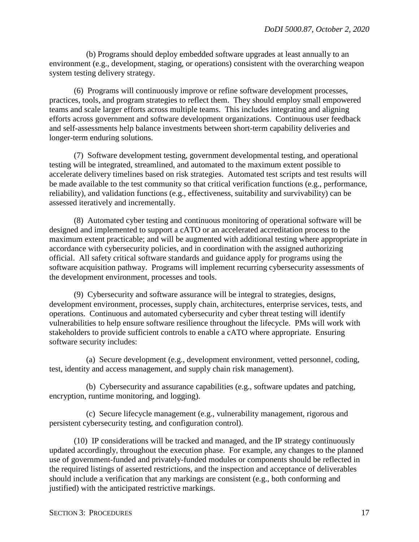(b) Programs should deploy embedded software upgrades at least annually to an environment (e.g., development, staging, or operations) consistent with the overarching weapon system testing delivery strategy.

(6) Programs will continuously improve or refine software development processes, practices, tools, and program strategies to reflect them. They should employ small empowered teams and scale larger efforts across multiple teams. This includes integrating and aligning efforts across government and software development organizations. Continuous user feedback and self-assessments help balance investments between short-term capability deliveries and longer-term enduring solutions.

(7) Software development testing, government developmental testing, and operational testing will be integrated, streamlined, and automated to the maximum extent possible to accelerate delivery timelines based on risk strategies. Automated test scripts and test results will be made available to the test community so that critical verification functions (e.g., performance, reliability), and validation functions (e.g., effectiveness, suitability and survivability) can be assessed iteratively and incrementally.

(8) Automated cyber testing and continuous monitoring of operational software will be designed and implemented to support a cATO or an accelerated accreditation process to the maximum extent practicable; and will be augmented with additional testing where appropriate in accordance with cybersecurity policies, and in coordination with the assigned authorizing official. All safety critical software standards and guidance apply for programs using the software acquisition pathway. Programs will implement recurring cybersecurity assessments of the development environment, processes and tools.

(9) Cybersecurity and software assurance will be integral to strategies, designs, development environment, processes, supply chain, architectures, enterprise services, tests, and operations. Continuous and automated cybersecurity and cyber threat testing will identify vulnerabilities to help ensure software resilience throughout the lifecycle. PMs will work with stakeholders to provide sufficient controls to enable a cATO where appropriate. Ensuring software security includes:

(a) Secure development (e.g., development environment, vetted personnel, coding, test, identity and access management, and supply chain risk management).

(b) Cybersecurity and assurance capabilities (e.g., software updates and patching, encryption, runtime monitoring, and logging).

(c) Secure lifecycle management (e.g., vulnerability management, rigorous and persistent cybersecurity testing, and configuration control).

(10) IP considerations will be tracked and managed, and the IP strategy continuously updated accordingly, throughout the execution phase. For example, any changes to the planned use of government-funded and privately-funded modules or components should be reflected in the required listings of asserted restrictions, and the inspection and acceptance of deliverables should include a verification that any markings are consistent (e.g., both conforming and justified) with the anticipated restrictive markings.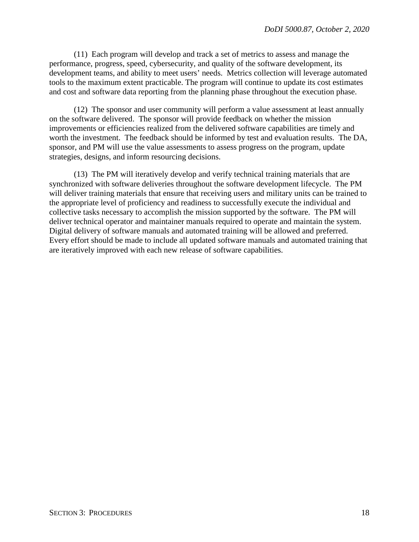(11) Each program will develop and track a set of metrics to assess and manage the performance, progress, speed, cybersecurity, and quality of the software development, its development teams, and ability to meet users' needs. Metrics collection will leverage automated tools to the maximum extent practicable. The program will continue to update its cost estimates and cost and software data reporting from the planning phase throughout the execution phase.

(12) The sponsor and user community will perform a value assessment at least annually on the software delivered. The sponsor will provide feedback on whether the mission improvements or efficiencies realized from the delivered software capabilities are timely and worth the investment. The feedback should be informed by test and evaluation results. The DA, sponsor, and PM will use the value assessments to assess progress on the program, update strategies, designs, and inform resourcing decisions.

(13) The PM will iteratively develop and verify technical training materials that are synchronized with software deliveries throughout the software development lifecycle. The PM will deliver training materials that ensure that receiving users and military units can be trained to the appropriate level of proficiency and readiness to successfully execute the individual and collective tasks necessary to accomplish the mission supported by the software. The PM will deliver technical operator and maintainer manuals required to operate and maintain the system. Digital delivery of software manuals and automated training will be allowed and preferred. Every effort should be made to include all updated software manuals and automated training that are iteratively improved with each new release of software capabilities.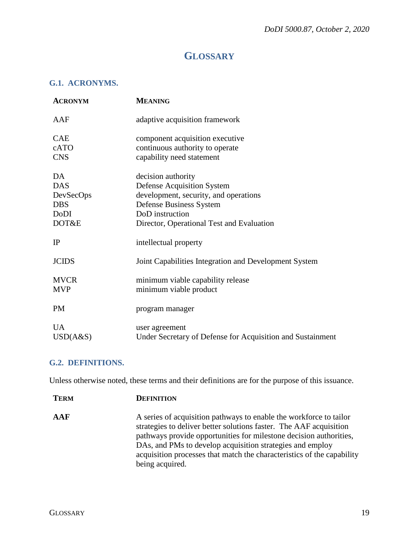# **GLOSSARY**

### <span id="page-18-1"></span><span id="page-18-0"></span>**G.1. ACRONYMS.**

| <b>ACRONYM</b>                                                      | <b>MEANING</b>                                                                                                                                                                              |
|---------------------------------------------------------------------|---------------------------------------------------------------------------------------------------------------------------------------------------------------------------------------------|
| AAF                                                                 | adaptive acquisition framework                                                                                                                                                              |
| <b>CAE</b><br>cATO<br><b>CNS</b>                                    | component acquisition executive<br>continuous authority to operate<br>capability need statement                                                                                             |
| DA<br><b>DAS</b><br>DevSecOps<br><b>DBS</b><br><b>DoDI</b><br>DOT&E | decision authority<br><b>Defense Acquisition System</b><br>development, security, and operations<br>Defense Business System<br>DoD instruction<br>Director, Operational Test and Evaluation |
| IP                                                                  | intellectual property                                                                                                                                                                       |
| <b>JCIDS</b>                                                        | Joint Capabilities Integration and Development System                                                                                                                                       |
| <b>MVCR</b><br><b>MVP</b>                                           | minimum viable capability release<br>minimum viable product                                                                                                                                 |
| <b>PM</b>                                                           | program manager                                                                                                                                                                             |
| <b>UA</b><br>USD(A&S)                                               | user agreement<br>Under Secretary of Defense for Acquisition and Sustainment                                                                                                                |

## <span id="page-18-2"></span>**G.2. DEFINITIONS.**

Unless otherwise noted, these terms and their definitions are for the purpose of this issuance.

| <b>TERM</b> | <b>DEFINITION</b>                                                                                                                                                                                                                                                                                                                                                        |
|-------------|--------------------------------------------------------------------------------------------------------------------------------------------------------------------------------------------------------------------------------------------------------------------------------------------------------------------------------------------------------------------------|
| AAF         | A series of acquisition pathways to enable the workforce to tailor<br>strategies to deliver better solutions faster. The AAF acquisition<br>pathways provide opportunities for milestone decision authorities,<br>DAs, and PMs to develop acquisition strategies and employ<br>acquisition processes that match the characteristics of the capability<br>being acquired. |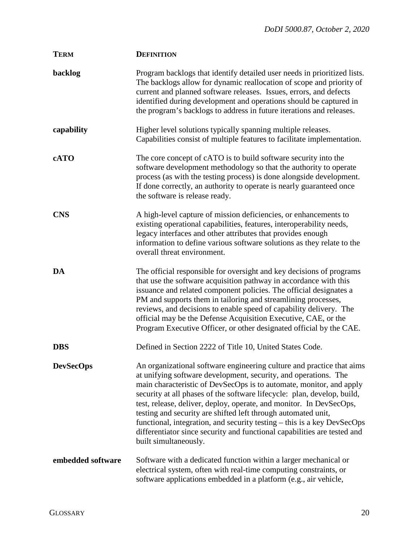| <b>TERM</b>       | <b>DEFINITION</b>                                                                                                                                                                                                                                                                                                                                                                                                                                                                                                                                                                                                  |
|-------------------|--------------------------------------------------------------------------------------------------------------------------------------------------------------------------------------------------------------------------------------------------------------------------------------------------------------------------------------------------------------------------------------------------------------------------------------------------------------------------------------------------------------------------------------------------------------------------------------------------------------------|
| backlog           | Program backlogs that identify detailed user needs in prioritized lists.<br>The backlogs allow for dynamic reallocation of scope and priority of<br>current and planned software releases. Issues, errors, and defects<br>identified during development and operations should be captured in<br>the program's backlogs to address in future iterations and releases.                                                                                                                                                                                                                                               |
| capability        | Higher level solutions typically spanning multiple releases.<br>Capabilities consist of multiple features to facilitate implementation.                                                                                                                                                                                                                                                                                                                                                                                                                                                                            |
| cATO              | The core concept of cATO is to build software security into the<br>software development methodology so that the authority to operate<br>process (as with the testing process) is done alongside development.<br>If done correctly, an authority to operate is nearly guaranteed once<br>the software is release ready.                                                                                                                                                                                                                                                                                             |
| <b>CNS</b>        | A high-level capture of mission deficiencies, or enhancements to<br>existing operational capabilities, features, interoperability needs,<br>legacy interfaces and other attributes that provides enough<br>information to define various software solutions as they relate to the<br>overall threat environment.                                                                                                                                                                                                                                                                                                   |
| DA                | The official responsible for oversight and key decisions of programs<br>that use the software acquisition pathway in accordance with this<br>issuance and related component policies. The official designates a<br>PM and supports them in tailoring and streamlining processes,<br>reviews, and decisions to enable speed of capability delivery. The<br>official may be the Defense Acquisition Executive, CAE, or the<br>Program Executive Officer, or other designated official by the CAE.                                                                                                                    |
| <b>DBS</b>        | Defined in Section 2222 of Title 10, United States Code.                                                                                                                                                                                                                                                                                                                                                                                                                                                                                                                                                           |
| <b>DevSecOps</b>  | An organizational software engineering culture and practice that aims<br>at unifying software development, security, and operations. The<br>main characteristic of DevSecOps is to automate, monitor, and apply<br>security at all phases of the software lifecycle: plan, develop, build,<br>test, release, deliver, deploy, operate, and monitor. In DevSecOps,<br>testing and security are shifted left through automated unit,<br>functional, integration, and security testing - this is a key DevSecOps<br>differentiator since security and functional capabilities are tested and<br>built simultaneously. |
| embedded software | Software with a dedicated function within a larger mechanical or<br>electrical system, often with real-time computing constraints, or<br>software applications embedded in a platform (e.g., air vehicle,                                                                                                                                                                                                                                                                                                                                                                                                          |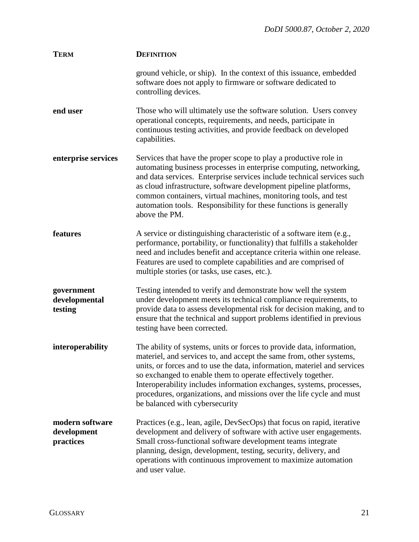| <b>TERM</b>                                 | <b>DEFINITION</b>                                                                                                                                                                                                                                                                                                                                                                                                                                                          |
|---------------------------------------------|----------------------------------------------------------------------------------------------------------------------------------------------------------------------------------------------------------------------------------------------------------------------------------------------------------------------------------------------------------------------------------------------------------------------------------------------------------------------------|
|                                             | ground vehicle, or ship). In the context of this issuance, embedded<br>software does not apply to firmware or software dedicated to<br>controlling devices.                                                                                                                                                                                                                                                                                                                |
| end user                                    | Those who will ultimately use the software solution. Users convey<br>operational concepts, requirements, and needs, participate in<br>continuous testing activities, and provide feedback on developed<br>capabilities.                                                                                                                                                                                                                                                    |
| enterprise services                         | Services that have the proper scope to play a productive role in<br>automating business processes in enterprise computing, networking,<br>and data services. Enterprise services include technical services such<br>as cloud infrastructure, software development pipeline platforms,<br>common containers, virtual machines, monitoring tools, and test<br>automation tools. Responsibility for these functions is generally<br>above the PM.                             |
| features                                    | A service or distinguishing characteristic of a software item (e.g.,<br>performance, portability, or functionality) that fulfills a stakeholder<br>need and includes benefit and acceptance criteria within one release.<br>Features are used to complete capabilities and are comprised of<br>multiple stories (or tasks, use cases, etc.).                                                                                                                               |
| government<br>developmental<br>testing      | Testing intended to verify and demonstrate how well the system<br>under development meets its technical compliance requirements, to<br>provide data to assess developmental risk for decision making, and to<br>ensure that the technical and support problems identified in previous<br>testing have been corrected.                                                                                                                                                      |
| interoperability                            | The ability of systems, units or forces to provide data, information,<br>materiel, and services to, and accept the same from, other systems,<br>units, or forces and to use the data, information, materiel and services<br>so exchanged to enable them to operate effectively together.<br>Interoperability includes information exchanges, systems, processes,<br>procedures, organizations, and missions over the life cycle and must<br>be balanced with cybersecurity |
| modern software<br>development<br>practices | Practices (e.g., lean, agile, DevSecOps) that focus on rapid, iterative<br>development and delivery of software with active user engagements.<br>Small cross-functional software development teams integrate<br>planning, design, development, testing, security, delivery, and<br>operations with continuous improvement to maximize automation<br>and user value.                                                                                                        |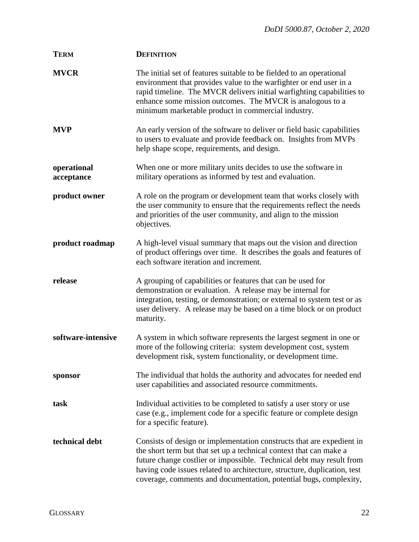| <b>TERM</b>               | <b>DEFINITION</b>                                                                                                                                                                                                                                                                                                                                                    |
|---------------------------|----------------------------------------------------------------------------------------------------------------------------------------------------------------------------------------------------------------------------------------------------------------------------------------------------------------------------------------------------------------------|
| <b>MVCR</b>               | The initial set of features suitable to be fielded to an operational<br>environment that provides value to the warfighter or end user in a<br>rapid timeline. The MVCR delivers initial warfighting capabilities to<br>enhance some mission outcomes. The MVCR is analogous to a<br>minimum marketable product in commercial industry.                               |
| <b>MVP</b>                | An early version of the software to deliver or field basic capabilities<br>to users to evaluate and provide feedback on. Insights from MVPs<br>help shape scope, requirements, and design.                                                                                                                                                                           |
| operational<br>acceptance | When one or more military units decides to use the software in<br>military operations as informed by test and evaluation.                                                                                                                                                                                                                                            |
| product owner             | A role on the program or development team that works closely with<br>the user community to ensure that the requirements reflect the needs<br>and priorities of the user community, and align to the mission<br>objectives.                                                                                                                                           |
| product roadmap           | A high-level visual summary that maps out the vision and direction<br>of product offerings over time. It describes the goals and features of<br>each software iteration and increment.                                                                                                                                                                               |
| release                   | A grouping of capabilities or features that can be used for<br>demonstration or evaluation. A release may be internal for<br>integration, testing, or demonstration; or external to system test or as<br>user delivery. A release may be based on a time block or on product<br>maturity.                                                                            |
| software-intensive        | A system in which software represents the largest segment in one or<br>more of the following criteria: system development cost, system<br>development risk, system functionality, or development time.                                                                                                                                                               |
| sponsor                   | The individual that holds the authority and advocates for needed end<br>user capabilities and associated resource commitments.                                                                                                                                                                                                                                       |
| task                      | Individual activities to be completed to satisfy a user story or use<br>case (e.g., implement code for a specific feature or complete design<br>for a specific feature).                                                                                                                                                                                             |
| technical debt            | Consists of design or implementation constructs that are expedient in<br>the short term but that set up a technical context that can make a<br>future change costlier or impossible. Technical debt may result from<br>having code issues related to architecture, structure, duplication, test<br>coverage, comments and documentation, potential bugs, complexity, |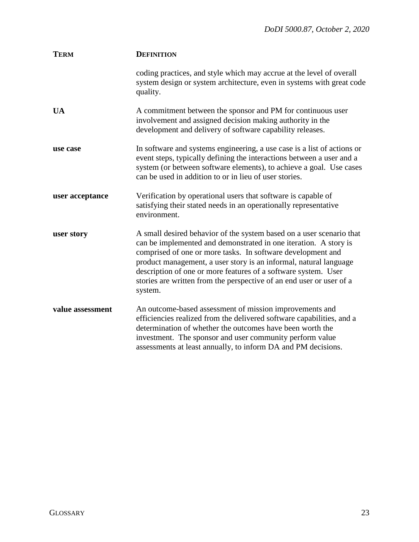| <b>TERM</b>      | <b>DEFINITION</b>                                                                                                                                                                                                                                                                                                                                                                                                                 |
|------------------|-----------------------------------------------------------------------------------------------------------------------------------------------------------------------------------------------------------------------------------------------------------------------------------------------------------------------------------------------------------------------------------------------------------------------------------|
|                  | coding practices, and style which may accrue at the level of overall<br>system design or system architecture, even in systems with great code<br>quality.                                                                                                                                                                                                                                                                         |
| <b>UA</b>        | A commitment between the sponsor and PM for continuous user<br>involvement and assigned decision making authority in the<br>development and delivery of software capability releases.                                                                                                                                                                                                                                             |
| use case         | In software and systems engineering, a use case is a list of actions or<br>event steps, typically defining the interactions between a user and a<br>system (or between software elements), to achieve a goal. Use cases<br>can be used in addition to or in lieu of user stories.                                                                                                                                                 |
| user acceptance  | Verification by operational users that software is capable of<br>satisfying their stated needs in an operationally representative<br>environment.                                                                                                                                                                                                                                                                                 |
| user story       | A small desired behavior of the system based on a user scenario that<br>can be implemented and demonstrated in one iteration. A story is<br>comprised of one or more tasks. In software development and<br>product management, a user story is an informal, natural language<br>description of one or more features of a software system. User<br>stories are written from the perspective of an end user or user of a<br>system. |
| value assessment | An outcome-based assessment of mission improvements and<br>efficiencies realized from the delivered software capabilities, and a<br>determination of whether the outcomes have been worth the<br>investment. The sponsor and user community perform value<br>assessments at least annually, to inform DA and PM decisions.                                                                                                        |